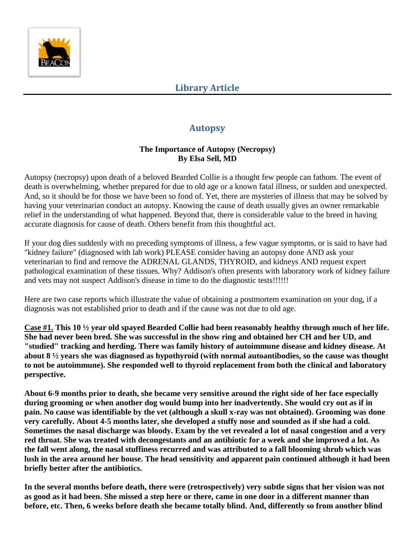

# **Autopsy**

### **The Importance of Autopsy (Necropsy) By Elsa Sell, MD**

Autopsy (necropsy) upon death of a beloved Bearded Collie is a thought few people can fathom. The event of death is overwhelming, whether prepared for due to old age or a known fatal illness, or sudden and unexpected. And, so it should be for those we have been so fond of. Yet, there are mysteries of illness that may be solved by having your veterinarian conduct an autopsy. Knowing the cause of death usually gives an owner remarkable relief in the understanding of what happened. Beyond that, there is considerable value to the breed in having accurate diagnosis for cause of death. Others benefit from this thoughtful act.

If your dog dies suddenly with no preceding symptoms of illness, a few vague symptoms, or is said to have had "kidney failure" (diagnosed with lab work) PLEASE consider having an autopsy done AND ask your veterinarian to find and remove the ADRENAL GLANDS, THYROID, and kidneys AND request expert pathological examination of these tissues. Why? Addison's often presents with laboratory work of kidney failure and vets may not suspect Addison's disease in time to do the diagnostic tests!!!!!!

Here are two case reports which illustrate the value of obtaining a postmortem examination on your dog, if a diagnosis was not established prior to death and if the cause was not due to old age.

**Case #1. This 10 ½ year old spayed Bearded Collie had been reasonably healthy through much of her life. She had never been bred. She was successful in the show ring and obtained her CH and her UD, and "studied" tracking and herding. There was family history of autoimmune disease and kidney disease. At about 8 ½ years she was diagnosed as hypothyroid (with normal autoantibodies, so the cause was thought to not be autoimmune). She responded well to thyroid replacement from both the clinical and laboratory perspective.** 

**About 6-9 months prior to death, she became very sensitive around the right side of her face especially during grooming or when another dog would bump into her inadvertently. She would cry out as if in pain. No cause was identifiable by the vet (although a skull x-ray was not obtained). Grooming was done very carefully. About 4-5 months later, she developed a stuffy nose and sounded as if she had a cold. Sometimes the nasal discharge was bloody. Exam by the vet revealed a lot of nasal congestion and a very red throat. She was treated with decongestants and an antibiotic for a week and she improved a lot. As the fall went along, the nasal stuffiness recurred and was attributed to a fall blooming shrub which was lush in the area around her house. The head sensitivity and apparent pain continued although it had been briefly better after the antibiotics.**

**In the several months before death, there were (retrospectively) very subtle signs that her vision was not as good as it had been. She missed a step here or there, came in one door in a different manner than before, etc. Then, 6 weeks before death she became totally blind. And, differently so from another blind**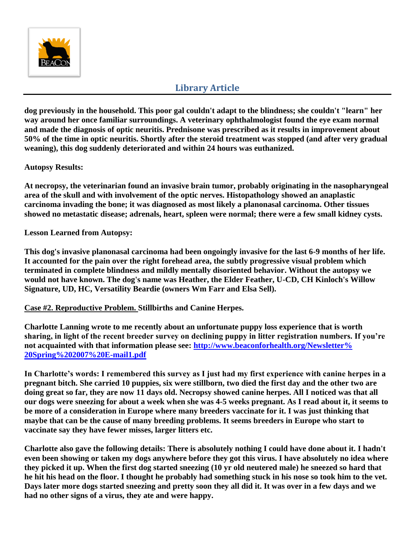

## **Library Article**

**dog previously in the household. This poor gal couldn't adapt to the blindness; she couldn't "learn" her way around her once familiar surroundings. A veterinary ophthalmologist found the eye exam normal and made the diagnosis of optic neuritis. Prednisone was prescribed as it results in improvement about 50% of the time in optic neuritis. Shortly after the steroid treatment was stopped (and after very gradual weaning), this dog suddenly deteriorated and within 24 hours was euthanized.**

#### **Autopsy Results:**

**At necropsy, the veterinarian found an invasive brain tumor, probably originating in the nasopharyngeal area of the skull and with involvement of the optic nerves. Histopathology showed an anaplastic carcinoma invading the bone; it was diagnosed as most likely a planonasal carcinoma. Other tissues showed no metastatic disease; adrenals, heart, spleen were normal; there were a few small kidney cysts.**

**Lesson Learned from Autopsy:**

**This dog's invasive planonasal carcinoma had been ongoingly invasive for the last 6-9 months of her life. It accounted for the pain over the right forehead area, the subtly progressive visual problem which terminated in complete blindness and mildly mentally disoriented behavior. Without the autopsy we would not have known. The dog's name was Heather, the Elder Feather, U-CD, CH Kinloch's Willow Signature, UD, HC, Versatility Beardie (owners Wm Farr and Elsa Sell).**

**Case #2. Reproductive Problem. Stillbirths and Canine Herpes.**

**Charlotte Lanning wrote to me recently about an unfortunate puppy loss experience that is worth sharing, in light of the recent breeder survey on declining puppy in litter registration numbers. If you're not acquainted with that information please see: http://www.beaconforhealth.org/Newsletter% 20Spring%202007%20E-mail1.pdf**

**In Charlotte's words: I remembered this survey as I just had my first experience with canine herpes in a pregnant bitch. She carried 10 puppies, six were stillborn, two died the first day and the other two are doing great so far, they are now 11 days old. Necropsy showed canine herpes. All I noticed was that all our dogs were sneezing for about a week when she was 4-5 weeks pregnant. As I read about it, it seems to be more of a consideration in Europe where many breeders vaccinate for it. I was just thinking that maybe that can be the cause of many breeding problems. It seems breeders in Europe who start to vaccinate say they have fewer misses, larger litters etc.** 

**Charlotte also gave the following details: There is absolutely nothing I could have done about it. I hadn't even been showing or taken my dogs anywhere before they got this virus. I have absolutely no idea where they picked it up. When the first dog started sneezing (10 yr old neutered male) he sneezed so hard that he hit his head on the floor. I thought he probably had something stuck in his nose so took him to the vet. Days later more dogs started sneezing and pretty soon they all did it. It was over in a few days and we had no other signs of a virus, they ate and were happy.**